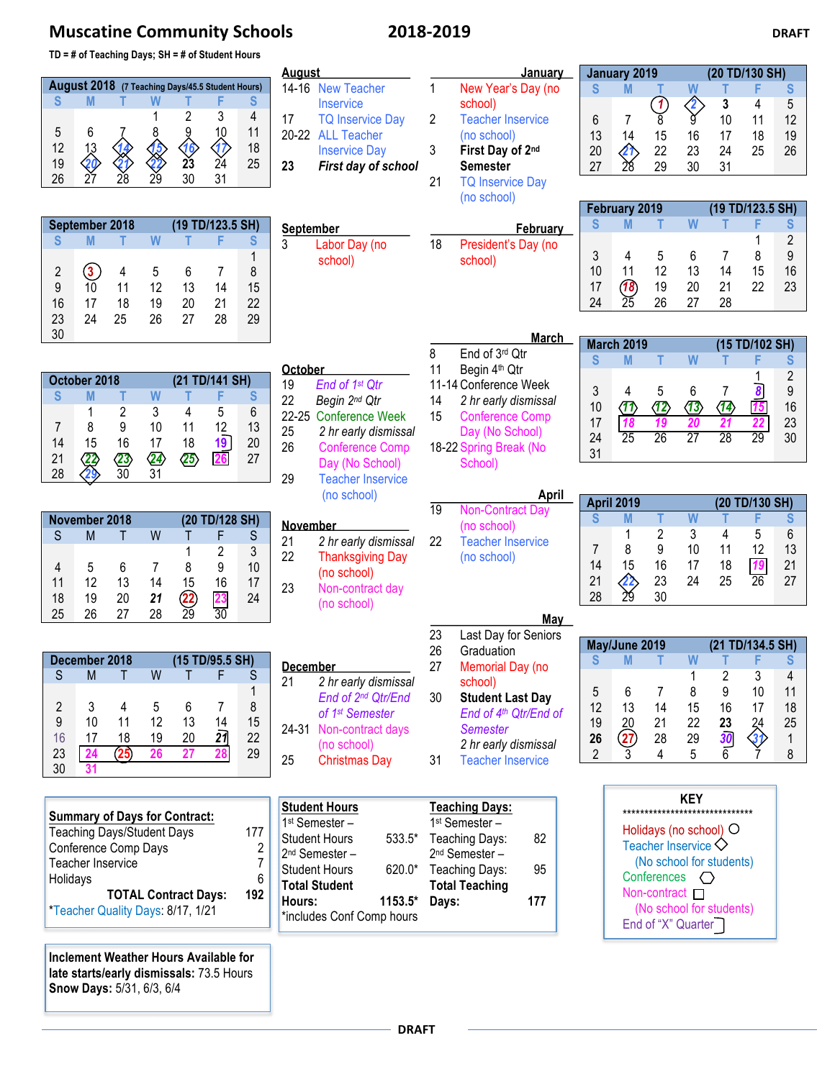## **Muscatine Community Schools 2018-2019 DRAFT**

**TD = # of Teaching Days; SH = # of Student Hours**

| TD - # or Teaching Days; SH - # or Student Hours |                                 |                       |                      |                       |                      | <u>August</u> |                                  |                | <u>January</u> | January 2019<br>(20 TD/130 SH) |                      |                               |                            |                          |                              |                  |                |
|--------------------------------------------------|---------------------------------|-----------------------|----------------------|-----------------------|----------------------|---------------|----------------------------------|----------------|----------------|--------------------------------|----------------------|-------------------------------|----------------------------|--------------------------|------------------------------|------------------|----------------|
| August 2018 (7 Teaching Days/45.5 Student Hours) |                                 |                       |                      | 14-16 New Teacher     | 1                    |               | New Year's Day (no               | S              | M              |                                | W                    |                               | F                          | S                        |                              |                  |                |
| <sub>S</sub>                                     | M                               |                       | W                    |                       | F                    | S.            | <b>Inservice</b>                 |                |                | school)                        |                      |                               |                            |                          | 3                            | 4                | 5              |
|                                                  |                                 |                       |                      | $\overline{2}$        | 3                    | 4             | 17<br><b>TQ Inservice Day</b>    | $\overline{2}$ |                | <b>Teacher Inservice</b>       | 6                    | 7                             | $\frac{1}{8}$              | $\overline{\mathscr{E}}$ | 10                           | 11               | 12             |
| 5                                                | 6                               |                       |                      |                       | 10                   | 11            | 20-22 ALL Teacher                |                |                | (no school)                    | 13                   | 14                            | 15                         | 16                       | 17                           | 18               | 19             |
| 12                                               |                                 |                       |                      |                       | $\frac{1}{24}$       | 18            | <b>Inservice Day</b>             | 3              |                | First Day of 2nd               | 20                   |                               | 22                         | 23                       | 24                           | 25               | 26             |
| 19                                               | $\frac{13}{20}$<br>27           | $\frac{14}{21}$<br>28 | $rac{15}{22}$        | $\frac{\sqrt{6}}{23}$ |                      | 25            | 23<br>First day of school        |                |                | <b>Semester</b>                | 27                   | $\frac{4}{28}$                | 29                         | 30                       | 31                           |                  |                |
| 26                                               |                                 |                       | 29                   | 30                    | 31                   |               |                                  | 21             |                | <b>TQ Inservice Day</b>        |                      |                               |                            |                          |                              |                  |                |
|                                                  |                                 |                       |                      |                       |                      |               |                                  |                |                | (no school)                    |                      |                               |                            |                          |                              |                  |                |
|                                                  |                                 |                       |                      |                       |                      |               |                                  |                |                |                                |                      | February 2019                 |                            |                          |                              | (19 TD/123.5 SH) |                |
|                                                  | September 2018                  |                       |                      |                       | (19 TD/123.5 SH)     |               | September                        |                |                | February                       | S                    | M                             | т                          | W                        |                              | F                | S              |
| <sub>S</sub>                                     | M                               |                       | W                    |                       | F                    | S             | 3<br>Labor Day (no               | 18             |                | President's Day (no            |                      |                               |                            |                          |                              |                  | $\overline{2}$ |
|                                                  |                                 |                       |                      |                       |                      | 1             | school)                          |                |                | school)                        | 3                    | 4                             | 5                          | 6                        | 7                            | 8                | 9              |
| 2                                                | $\bf(3)$                        | 4                     | 5                    | 6                     | 7                    | 8             |                                  |                |                |                                | 10                   | 11                            | 12                         | 13                       | 14                           | 15               | 16             |
| 9                                                | 10                              | 11                    | 12                   | 13                    | 14                   | 15            |                                  |                |                |                                | 17                   | $\overline{18}$               | 19                         | 20                       | 21                           | 22               | 23             |
| 16                                               | 17                              | 18                    | 19                   | 20                    | 21                   | 22            |                                  |                |                |                                | 24                   | $\widetilde{25}$              | 26                         | 27                       | 28                           |                  |                |
| 23                                               | 24                              | 25                    | 26                   | 27                    | 28                   | 29            |                                  |                |                |                                |                      |                               |                            |                          |                              |                  |                |
| 30                                               |                                 |                       |                      |                       |                      |               |                                  |                |                | <u>March</u>                   |                      | <b>March 2019</b>             |                            |                          |                              | (15 TD/102 SH)   |                |
|                                                  |                                 |                       |                      |                       |                      |               |                                  | 8              |                | End of 3rd Qtr                 | S                    | M                             |                            | W                        |                              |                  | S              |
|                                                  |                                 |                       |                      |                       |                      |               | October                          | 11             |                | Begin 4th Qtr                  |                      |                               |                            |                          |                              |                  | $\overline{2}$ |
|                                                  | October 2018                    |                       |                      |                       | (21 TD/141 SH)       |               | 19<br>End of 1 <sup>st</sup> Qtr |                |                | 11-14 Conference Week          | 3                    | 4                             | 5                          | 6                        | 7                            | 8                | 9              |
| <sub>S</sub>                                     | M                               | т                     | W                    | т                     | F                    | S             | 22<br>Begin 2nd Qtr              | 14             |                | 2 hr early dismissal           | 10                   | $\langle \mathcal{T} \rangle$ |                            | $\langle 13 \rangle$     | $\langle \mathbf{1} \rangle$ | $\overline{15}$  | 16             |
|                                                  | 1                               | $\overline{2}$        | 3                    | 4                     | 5                    | 6             | 22-25 Conference Week            | 15             |                | <b>Conference Comp</b>         | 17                   | 18                            | $\langle 12 \rangle$<br>19 | 20                       | 21                           | 22               | 23             |
| 7                                                | 8                               | 9                     | 10                   | 11                    | 12                   | 13            | 25<br>2 hr early dismissal       |                |                | Day (No School)                | 24                   | $\overline{25}$               | $\overline{26}$            | $\overline{27}$          | $\overline{28}$              | $\overline{29}$  | 30             |
| 14                                               | 15                              | 16                    | 17                   | 18                    | 19                   | 20            | 26<br><b>Conference Comp</b>     |                |                | 18-22 Spring Break (No         | 31                   |                               |                            |                          |                              |                  |                |
| 21                                               | 22                              | $\langle 23 \rangle$  | $\langle 24 \rangle$ | $\langle 25 \rangle$  | 26                   | 27            | Day (No School)                  |                |                | School)                        |                      |                               |                            |                          |                              |                  |                |
| 28                                               |                                 | $\overline{30}$       | 31                   |                       |                      |               | 29<br><b>Teacher Inservice</b>   |                |                |                                |                      |                               |                            |                          |                              |                  |                |
|                                                  |                                 |                       |                      |                       |                      |               | (no school)                      |                |                | April                          |                      |                               |                            |                          |                              |                  |                |
|                                                  | November 2018<br>(20 TD/128 SH) |                       |                      |                       | $\overline{19}$      |               | <b>Non-Contract Day</b>          |                | April 2019     |                                | W                    |                               | (20 TD/130 SH)<br>F        |                          |                              |                  |                |
|                                                  |                                 |                       |                      |                       |                      |               | <b>November</b>                  |                |                | (no school)                    | S                    | M                             | T                          |                          | т<br>4                       | 5                | S              |
| <sub>S</sub>                                     | M                               | Τ                     | W                    | Τ                     | F                    | S             | 21<br>2 hr early dismissal       | 22             |                | <b>Teacher Inservice</b>       |                      | 1                             | 2<br>9                     | 3<br>10                  |                              | 12               | 6              |
|                                                  |                                 |                       |                      | 1                     | $\overline{2}$       | 3             | 22<br><b>Thanksgiving Day</b>    |                |                | (no school)                    | $\overline{7}$<br>14 | 8<br>15                       | 16                         |                          | 11                           |                  | 13             |
| 4                                                | 5                               | 6                     | $\overline{7}$       | 8                     | 9                    | 10            | (no school)                      |                |                |                                |                      |                               |                            | 17                       | 18                           | 19               | 21             |
| 11                                               | 12                              | 13                    | 14                   | 15                    | 16                   | 17            | 23<br>Non-contract day           |                |                |                                | 21                   | 42,<br>$\frac{1}{29}$         | 23                         | 24                       | 25                           | $\overline{26}$  | 27             |
| 18                                               | 19                              | 20                    | 21                   | $\frac{22}{29}$       | $\frac{23}{30}$      | 24            | (no school)                      |                |                |                                | 28                   |                               | 30                         |                          |                              |                  |                |
| 25                                               | 26                              | 27                    | 28                   |                       |                      |               |                                  |                |                | May                            |                      |                               |                            |                          |                              |                  |                |
|                                                  |                                 |                       |                      |                       |                      |               |                                  | 23             |                | Last Day for Seniors           |                      |                               |                            |                          |                              |                  |                |
|                                                  | December 2018                   |                       |                      |                       | (15 TD/95.5 SH)      |               |                                  | 26             |                | Graduation                     | S                    | May/June 2019<br>M            |                            | W                        |                              | (21 TD/134.5 SH) | S              |
| $\mathsf S$                                      | ${\sf M}$                       |                       | W                    | Τ                     | F                    |               | <b>December</b>                  | 27             |                | Memorial Day (no               |                      |                               |                            |                          |                              |                  |                |
|                                                  |                                 | Τ                     |                      |                       |                      | S             | 21<br>2 hr early dismissal       |                |                | school)                        |                      |                               |                            | 1                        | $\overline{c}$               | 3                | 4              |
|                                                  |                                 |                       |                      |                       |                      |               | End of 2 <sup>nd</sup> Qtr/End   | 30             |                | <b>Student Last Day</b>        | 5                    | 6                             | 7                          | 8                        | 9                            | 10               | 11             |
| $\overline{2}$<br>9                              | 3<br>10                         | 4<br>11               | 5<br>12              | 6<br>13               | 7                    | 8             | of 1 <sup>st</sup> Semester      |                |                | End of 4th Qtr/End of          | 12                   | 13                            | 14                         | 15                       | 16                           | 17               | 18             |
| 16                                               |                                 |                       |                      |                       | 14                   | 15            | 24-31 Non-contract days          |                |                | <b>Semester</b>                | 19                   | 20                            | 21                         | 22                       |                              | $\frac{24}{3}$   | 25             |
|                                                  | 17                              | 18                    | 19                   | 20                    | $\overline{21}$      | 22            | (no school)                      |                |                | 2 hr early dismissal           | 26                   | $\left( 27\right)$            | 28                         | 29                       | $\frac{23}{30}$<br>6         |                  | 1              |
| 23                                               | 24                              | (25)                  | 26                   | 27                    | 28                   | 29            | 25<br><b>Christmas Day</b>       | 31             |                | <b>Teacher Inservice</b>       | $\overline{2}$       |                               | 4                          | 5                        |                              |                  | 8              |
| 30                                               | 31                              |                       |                      |                       |                      |               |                                  |                |                |                                |                      |                               |                            |                          |                              |                  |                |
|                                                  |                                 |                       |                      |                       |                      |               |                                  |                |                |                                |                      |                               | <b>KEY</b>                 |                          |                              |                  |                |
| <b>Summary of Days for Contract:</b>             |                                 |                       |                      |                       | <b>Student Hours</b> |               | <b>Teaching Days:</b>            |                |                | ****************************** |                      |                               |                            |                          |                              |                  |                |

| <b>Summary of Days for Contract:</b>                             |     |
|------------------------------------------------------------------|-----|
| <b>Teaching Days/Student Days</b>                                | 177 |
| Conference Comp Days                                             | 2   |
| Teacher Inservice                                                |     |
| Holidays                                                         | հ   |
| <b>TOTAL Contract Days:</b><br>*Teacher Quality Days: 8/17, 1/21 | 192 |

**Inclement Weather Hours Available for late starts/early dismissals:** 73.5 Hours **Snow Days:** 5/31, 6/3, 6/4

## 1<sup>st</sup> Semester – Student Hours 2<sup>nd</sup> Semester – Student Hours **Total Student Hours: 1153.5\* Days: 177** \*includes Conf Comp hours 1st Semester – 533.5\* Teaching Days: 82 2nd Semester – 620.0\* Teaching Days: 95 **Total Teaching**

| KEY<br>*********************                                                            |
|-----------------------------------------------------------------------------------------|
| Holidays (no school)<br>Ő<br>Teacher Inservice $\heartsuit$<br>(No school for students) |
| Conferences<br>Non-contract $\Box$<br>(No school for students)<br>End of "X" Quarter    |

**DRAFT**